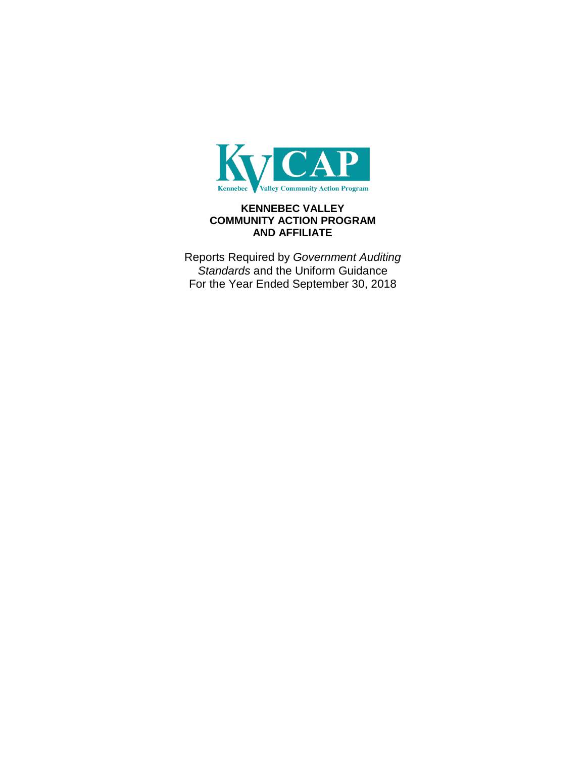

# **KENNEBEC VALLEY COMMUNITY ACTION PROGRAM AND AFFILIATE**

Reports Required by *Government Auditing Standards* and the Uniform Guidance For the Year Ended September 30, 2018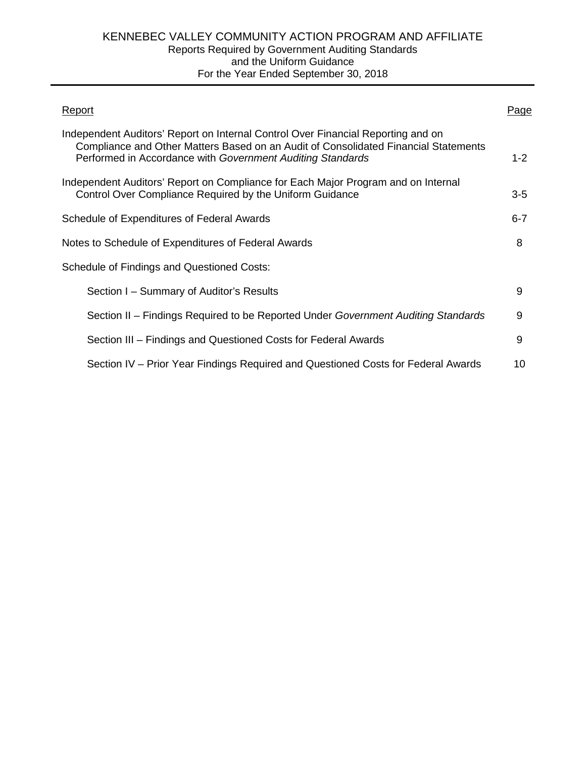| Report                                                                                                                                                                                                                                | Page    |
|---------------------------------------------------------------------------------------------------------------------------------------------------------------------------------------------------------------------------------------|---------|
| Independent Auditors' Report on Internal Control Over Financial Reporting and on<br>Compliance and Other Matters Based on an Audit of Consolidated Financial Statements<br>Performed in Accordance with Government Auditing Standards | $1 - 2$ |
| Independent Auditors' Report on Compliance for Each Major Program and on Internal<br>Control Over Compliance Required by the Uniform Guidance                                                                                         | $3 - 5$ |
| Schedule of Expenditures of Federal Awards                                                                                                                                                                                            | $6 - 7$ |
| Notes to Schedule of Expenditures of Federal Awards                                                                                                                                                                                   | 8       |
| Schedule of Findings and Questioned Costs:                                                                                                                                                                                            |         |
| Section I – Summary of Auditor's Results                                                                                                                                                                                              | 9       |
| Section II – Findings Required to be Reported Under Government Auditing Standards                                                                                                                                                     | 9       |
| Section III – Findings and Questioned Costs for Federal Awards                                                                                                                                                                        | 9       |
| Section IV – Prior Year Findings Required and Questioned Costs for Federal Awards                                                                                                                                                     | 10      |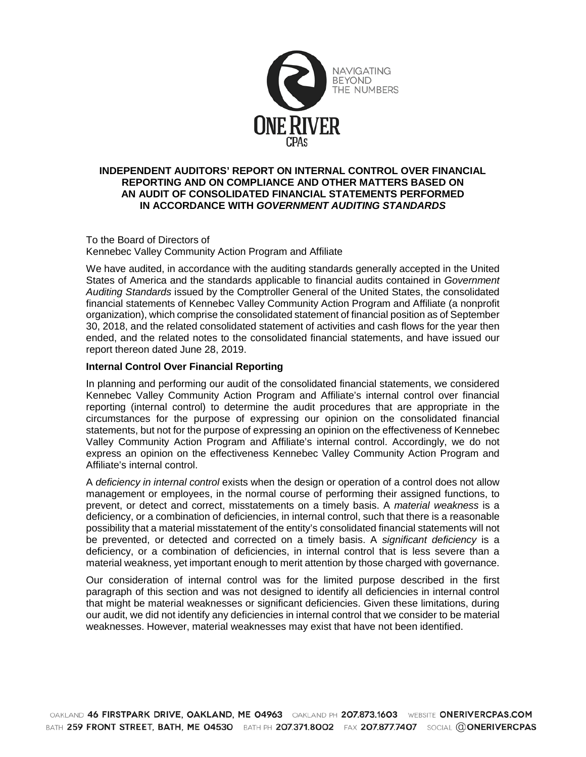

#### **INDEPENDENT AUDITORS' REPORT ON INTERNAL CONTROL OVER FINANCIAL REPORTING AND ON COMPLIANCE AND OTHER MATTERS BASED ON AN AUDIT OF CONSOLIDATED FINANCIAL STATEMENTS PERFORMED IN ACCORDANCE WITH** *GOVERNMENT AUDITING STANDARDS*

To the Board of Directors of Kennebec Valley Community Action Program and Affiliate

We have audited, in accordance with the auditing standards generally accepted in the United States of America and the standards applicable to financial audits contained in *Government Auditing Standards* issued by the Comptroller General of the United States, the consolidated financial statements of Kennebec Valley Community Action Program and Affiliate (a nonprofit organization), which comprise the consolidated statement of financial position as of September 30, 2018, and the related consolidated statement of activities and cash flows for the year then ended, and the related notes to the consolidated financial statements, and have issued our report thereon dated June 28, 2019.

#### **Internal Control Over Financial Reporting**

In planning and performing our audit of the consolidated financial statements, we considered Kennebec Valley Community Action Program and Affiliate's internal control over financial reporting (internal control) to determine the audit procedures that are appropriate in the circumstances for the purpose of expressing our opinion on the consolidated financial statements, but not for the purpose of expressing an opinion on the effectiveness of Kennebec Valley Community Action Program and Affiliate's internal control. Accordingly, we do not express an opinion on the effectiveness Kennebec Valley Community Action Program and Affiliate's internal control.

A *deficiency in internal control* exists when the design or operation of a control does not allow management or employees, in the normal course of performing their assigned functions, to prevent, or detect and correct, misstatements on a timely basis. A *material weakness* is a deficiency, or a combination of deficiencies, in internal control, such that there is a reasonable possibility that a material misstatement of the entity's consolidated financial statements will not be prevented, or detected and corrected on a timely basis. A *significant deficiency* is a deficiency, or a combination of deficiencies, in internal control that is less severe than a material weakness, yet important enough to merit attention by those charged with governance.

Our consideration of internal control was for the limited purpose described in the first paragraph of this section and was not designed to identify all deficiencies in internal control that might be material weaknesses or significant deficiencies. Given these limitations, during our audit, we did not identify any deficiencies in internal control that we consider to be material weaknesses. However, material weaknesses may exist that have not been identified.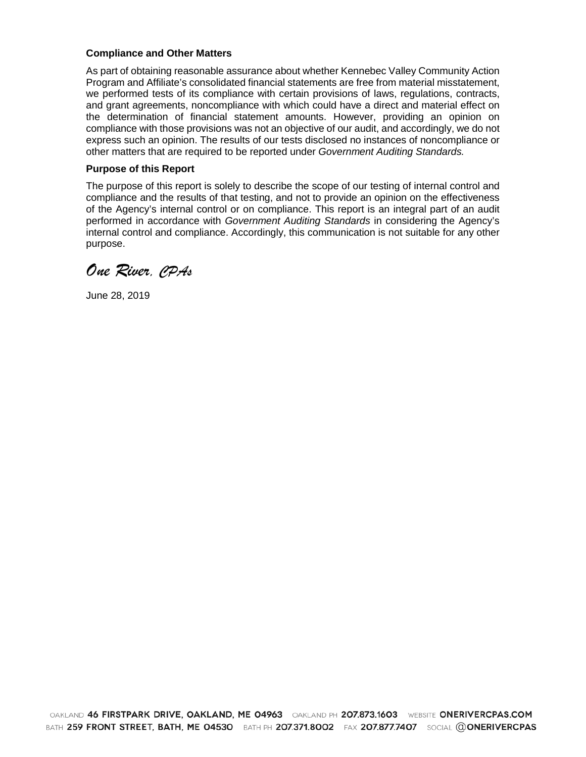#### **Compliance and Other Matters**

As part of obtaining reasonable assurance about whether Kennebec Valley Community Action Program and Affiliate's consolidated financial statements are free from material misstatement, we performed tests of its compliance with certain provisions of laws, regulations, contracts, and grant agreements, noncompliance with which could have a direct and material effect on the determination of financial statement amounts. However, providing an opinion on compliance with those provisions was not an objective of our audit, and accordingly, we do not express such an opinion. The results of our tests disclosed no instances of noncompliance or other matters that are required to be reported under *Government Auditing Standards.*

#### **Purpose of this Report**

The purpose of this report is solely to describe the scope of our testing of internal control and compliance and the results of that testing, and not to provide an opinion on the effectiveness of the Agency's internal control or on compliance. This report is an integral part of an audit performed in accordance with *Government Auditing Standards* in considering the Agency's internal control and compliance. Accordingly, this communication is not suitable for any other purpose.

*One River, CPAs*

June 28, 2019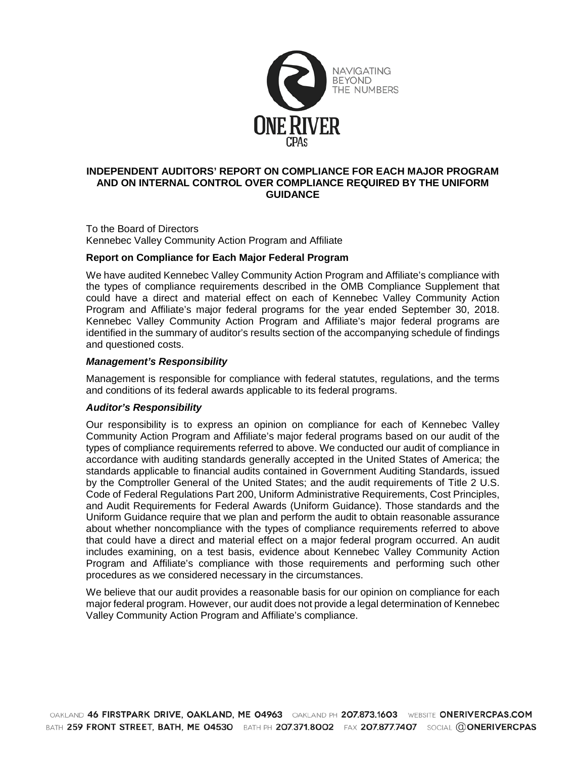

#### **INDEPENDENT AUDITORS' REPORT ON COMPLIANCE FOR EACH MAJOR PROGRAM AND ON INTERNAL CONTROL OVER COMPLIANCE REQUIRED BY THE UNIFORM GUIDANCE**

To the Board of Directors Kennebec Valley Community Action Program and Affiliate

#### **Report on Compliance for Each Major Federal Program**

We have audited Kennebec Valley Community Action Program and Affiliate's compliance with the types of compliance requirements described in the OMB Compliance Supplement that could have a direct and material effect on each of Kennebec Valley Community Action Program and Affiliate's major federal programs for the year ended September 30, 2018. Kennebec Valley Community Action Program and Affiliate's major federal programs are identified in the summary of auditor's results section of the accompanying schedule of findings and questioned costs.

#### *Management's Responsibility*

Management is responsible for compliance with federal statutes, regulations, and the terms and conditions of its federal awards applicable to its federal programs.

#### *Auditor's Responsibility*

Our responsibility is to express an opinion on compliance for each of Kennebec Valley Community Action Program and Affiliate's major federal programs based on our audit of the types of compliance requirements referred to above. We conducted our audit of compliance in accordance with auditing standards generally accepted in the United States of America; the standards applicable to financial audits contained in Government Auditing Standards, issued by the Comptroller General of the United States; and the audit requirements of Title 2 U.S. Code of Federal Regulations Part 200, Uniform Administrative Requirements, Cost Principles, and Audit Requirements for Federal Awards (Uniform Guidance). Those standards and the Uniform Guidance require that we plan and perform the audit to obtain reasonable assurance about whether noncompliance with the types of compliance requirements referred to above that could have a direct and material effect on a major federal program occurred. An audit includes examining, on a test basis, evidence about Kennebec Valley Community Action Program and Affiliate's compliance with those requirements and performing such other procedures as we considered necessary in the circumstances.

We believe that our audit provides a reasonable basis for our opinion on compliance for each major federal program. However, our audit does not provide a legal determination of Kennebec Valley Community Action Program and Affiliate's compliance.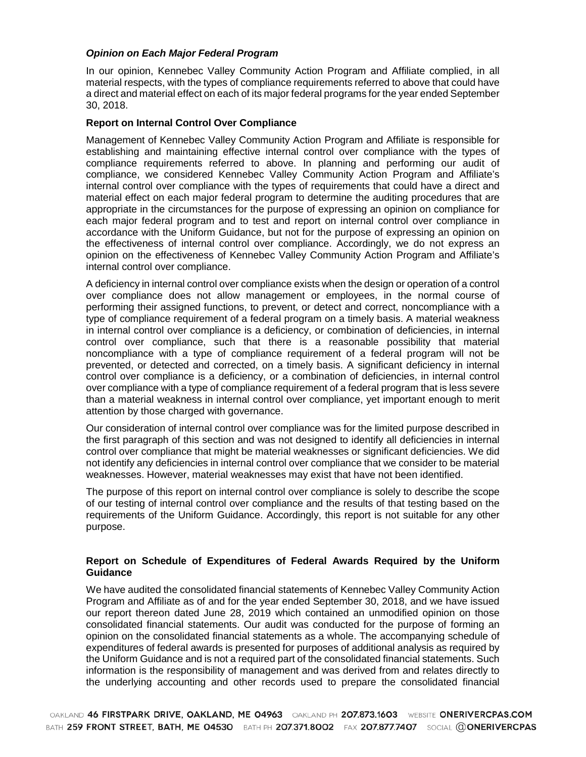#### *Opinion on Each Major Federal Program*

In our opinion, Kennebec Valley Community Action Program and Affiliate complied, in all material respects, with the types of compliance requirements referred to above that could have a direct and material effect on each of its major federal programs for the year ended September 30, 2018.

#### **Report on Internal Control Over Compliance**

Management of Kennebec Valley Community Action Program and Affiliate is responsible for establishing and maintaining effective internal control over compliance with the types of compliance requirements referred to above. In planning and performing our audit of compliance, we considered Kennebec Valley Community Action Program and Affiliate's internal control over compliance with the types of requirements that could have a direct and material effect on each major federal program to determine the auditing procedures that are appropriate in the circumstances for the purpose of expressing an opinion on compliance for each major federal program and to test and report on internal control over compliance in accordance with the Uniform Guidance, but not for the purpose of expressing an opinion on the effectiveness of internal control over compliance. Accordingly, we do not express an opinion on the effectiveness of Kennebec Valley Community Action Program and Affiliate's internal control over compliance.

A deficiency in internal control over compliance exists when the design or operation of a control over compliance does not allow management or employees, in the normal course of performing their assigned functions, to prevent, or detect and correct, noncompliance with a type of compliance requirement of a federal program on a timely basis. A material weakness in internal control over compliance is a deficiency, or combination of deficiencies, in internal control over compliance, such that there is a reasonable possibility that material noncompliance with a type of compliance requirement of a federal program will not be prevented, or detected and corrected, on a timely basis. A significant deficiency in internal control over compliance is a deficiency, or a combination of deficiencies, in internal control over compliance with a type of compliance requirement of a federal program that is less severe than a material weakness in internal control over compliance, yet important enough to merit attention by those charged with governance.

Our consideration of internal control over compliance was for the limited purpose described in the first paragraph of this section and was not designed to identify all deficiencies in internal control over compliance that might be material weaknesses or significant deficiencies. We did not identify any deficiencies in internal control over compliance that we consider to be material weaknesses. However, material weaknesses may exist that have not been identified.

The purpose of this report on internal control over compliance is solely to describe the scope of our testing of internal control over compliance and the results of that testing based on the requirements of the Uniform Guidance. Accordingly, this report is not suitable for any other purpose.

#### **Report on Schedule of Expenditures of Federal Awards Required by the Uniform Guidance**

We have audited the consolidated financial statements of Kennebec Valley Community Action Program and Affiliate as of and for the year ended September 30, 2018, and we have issued our report thereon dated June 28, 2019 which contained an unmodified opinion on those consolidated financial statements. Our audit was conducted for the purpose of forming an opinion on the consolidated financial statements as a whole. The accompanying schedule of expenditures of federal awards is presented for purposes of additional analysis as required by the Uniform Guidance and is not a required part of the consolidated financial statements. Such information is the responsibility of management and was derived from and relates directly to the underlying accounting and other records used to prepare the consolidated financial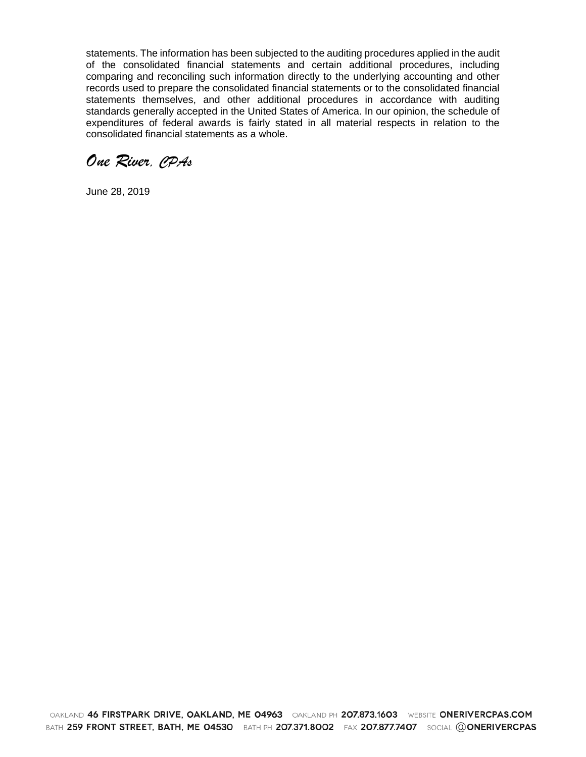statements. The information has been subjected to the auditing procedures applied in the audit of the consolidated financial statements and certain additional procedures, including comparing and reconciling such information directly to the underlying accounting and other records used to prepare the consolidated financial statements or to the consolidated financial statements themselves, and other additional procedures in accordance with auditing standards generally accepted in the United States of America. In our opinion, the schedule of expenditures of federal awards is fairly stated in all material respects in relation to the consolidated financial statements as a whole.

*One River, CPAs*

June 28, 2019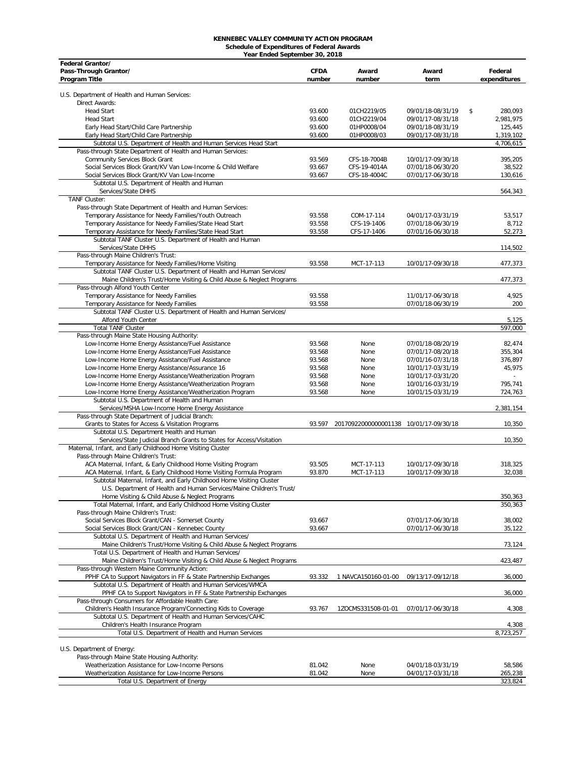# **KENNEBEC VALLEY COMMUNITY ACTION PROGRAM Schedule of Expenditures of Federal Awards Year Ended September 30, 2018**

| Federal Grantor/                                                                                    |                  |                                        |                                        |               |
|-----------------------------------------------------------------------------------------------------|------------------|----------------------------------------|----------------------------------------|---------------|
| Pass-Through Grantor/                                                                               | <b>CFDA</b>      | Award                                  | Award                                  | Federal       |
| Program Title                                                                                       | number           | number                                 | term                                   | expenditures  |
| U.S. Department of Health and Human Services:                                                       |                  |                                        |                                        |               |
| Direct Awards:                                                                                      |                  |                                        |                                        |               |
| <b>Head Start</b>                                                                                   | 93.600           | 01CH2219/05                            | 09/01/18-08/31/19                      | \$<br>280.093 |
| <b>Head Start</b>                                                                                   | 93.600           | 01CH2219/04                            | 09/01/17-08/31/18                      | 2,981,975     |
| Early Head Start/Child Care Partnership                                                             | 93.600           | 01HP0008/04                            | 09/01/18-08/31/19                      | 125,445       |
| Early Head Start/Child Care Partnership                                                             | 93.600           | 01HP0008/03                            | 09/01/17-08/31/18                      | 1,319,102     |
| Subtotal U.S. Department of Health and Human Services Head Start                                    |                  |                                        |                                        | 4,706,615     |
| Pass-through State Department of Health and Human Services:                                         |                  |                                        |                                        |               |
| <b>Community Services Block Grant</b>                                                               | 93.569           | CFS-18-7004B                           | 10/01/17-09/30/18                      | 395,205       |
| Social Services Block Grant/KV Van Low-Income & Child Welfare                                       | 93.667           | CFS-19-4014A                           | 07/01/18-06/30/20                      | 38,522        |
| Social Services Block Grant/KV Van Low-Income                                                       | 93.667           | CFS-18-4004C                           | 07/01/17-06/30/18                      | 130,616       |
| Subtotal U.S. Department of Health and Human                                                        |                  |                                        |                                        |               |
| Services/State DHHS                                                                                 |                  |                                        |                                        | 564,343       |
| <b>TANF Cluster:</b>                                                                                |                  |                                        |                                        |               |
| Pass-through State Department of Health and Human Services:                                         |                  |                                        |                                        |               |
| Temporary Assistance for Needy Families/Youth Outreach                                              | 93.558           | COM-17-114                             | 04/01/17-03/31/19                      | 53,517        |
| Temporary Assistance for Needy Families/State Head Start                                            | 93.558           | CFS-19-1406                            | 07/01/18-06/30/19                      | 8,712         |
| Temporary Assistance for Needy Families/State Head Start                                            | 93.558           | CFS-17-1406                            | 07/01/16-06/30/18                      | 52,273        |
| Subtotal TANF Cluster U.S. Department of Health and Human                                           |                  |                                        |                                        |               |
| Services/State DHHS                                                                                 |                  |                                        |                                        | 114,502       |
| Pass-through Maine Children's Trust:                                                                |                  |                                        |                                        |               |
| Temporary Assistance for Needy Families/Home Visiting                                               | 93.558           | MCT-17-113                             | 10/01/17-09/30/18                      | 477,373       |
| Subtotal TANF Cluster U.S. Department of Health and Human Services/                                 |                  |                                        |                                        |               |
| Maine Children's Trust/Home Visiting & Child Abuse & Neglect Programs                               |                  |                                        |                                        | 477,373       |
| Pass-through Alfond Youth Center                                                                    |                  |                                        |                                        |               |
| Temporary Assistance for Needy Families                                                             | 93.558           |                                        | 11/01/17-06/30/18                      | 4,925         |
| Temporary Assistance for Needy Families                                                             | 93.558           |                                        | 07/01/18-06/30/19                      | 200           |
| Subtotal TANF Cluster U.S. Department of Health and Human Services/                                 |                  |                                        |                                        |               |
| Alfond Youth Center                                                                                 |                  |                                        |                                        | 5,125         |
| <b>Total TANF Cluster</b>                                                                           |                  |                                        |                                        | 597,000       |
| Pass-through Maine State Housing Authority:                                                         | 93.568           |                                        |                                        | 82,474        |
| Low-Income Home Energy Assistance/Fuel Assistance                                                   | 93.568           | None<br>None                           | 07/01/18-08/20/19                      | 355,304       |
| Low-Income Home Energy Assistance/Fuel Assistance                                                   |                  |                                        | 07/01/17-08/20/18                      | 376,897       |
| Low-Income Home Energy Assistance/Fuel Assistance<br>Low-Income Home Energy Assistance/Assurance 16 | 93.568<br>93.568 | None<br>None                           | 07/01/16-07/31/18<br>10/01/17-03/31/19 | 45,975        |
| Low-Income Home Energy Assistance/Weatherization Program                                            | 93.568           | None                                   | 10/01/17-03/31/20                      |               |
| Low-Income Home Energy Assistance/Weatherization Program                                            | 93.568           | None                                   | 10/01/16-03/31/19                      | 795,741       |
| Low-Income Home Energy Assistance/Weatherization Program                                            | 93.568           | None                                   | 10/01/15-03/31/19                      | 724,763       |
| Subtotal U.S. Department of Health and Human                                                        |                  |                                        |                                        |               |
| Services/MSHA Low-Income Home Energy Assistance                                                     |                  |                                        |                                        | 2,381,154     |
| Pass-through State Department of Judicial Branch:                                                   |                  |                                        |                                        |               |
| Grants to States for Access & Visitation Programs                                                   | 93.597           | 20170922000000001138 10/01/17-09/30/18 |                                        | 10,350        |
| Subtotal U.S. Department Health and Human                                                           |                  |                                        |                                        |               |
| Services/State Judicial Branch Grants to States for Access/Visitation                               |                  |                                        |                                        | 10,350        |
| Maternal, Infant, and Early Childhood Home Visiting Cluster                                         |                  |                                        |                                        |               |
| Pass-through Maine Children's Trust:                                                                |                  |                                        |                                        |               |
| ACA Maternal, Infant, & Early Childhood Home Visiting Program                                       | 93.505           | MCT-17-113                             | 10/01/17-09/30/18                      | 318,325       |
| ACA Maternal, Infant, & Early Childhood Home Visiting Formula Program                               | 93.870           | MCT-17-113                             | 10/01/17-09/30/18                      | 32,038        |
| Subtotal Maternal, Infant, and Early Childhood Home Visiting Cluster                                |                  |                                        |                                        |               |
| U.S. Department of Health and Human Services/Maine Children's Trust/                                |                  |                                        |                                        |               |
| Home Visiting & Child Abuse & Neglect Programs                                                      |                  |                                        |                                        | 350,363       |
| Total Maternal, Infant, and Early Childhood Home Visiting Cluster                                   |                  |                                        |                                        | 350,363       |
| Pass-through Maine Children's Trust:                                                                |                  |                                        |                                        |               |
| Social Services Block Grant/CAN - Somerset County                                                   | 93.667           |                                        | 07/01/17-06/30/18                      | 38,002        |
| Social Services Block Grant/CAN - Kennebec County                                                   | 93.667           |                                        | 07/01/17-06/30/18                      | 35,122        |
| Subtotal U.S. Department of Health and Human Services/                                              |                  |                                        |                                        |               |
| Maine Children's Trust/Home Visiting & Child Abuse & Neglect Programs                               |                  |                                        |                                        | 73,124        |
| Total U.S. Department of Health and Human Services/                                                 |                  |                                        |                                        |               |
| Maine Children's Trust/Home Visiting & Child Abuse & Neglect Programs                               |                  |                                        |                                        | 423,487       |
| Pass-through Western Maine Community Action:                                                        |                  |                                        |                                        |               |
| PPHF CA to Support Navigators in FF & State Partnership Exchanges                                   | 93.332           | 1 NAVCA150160-01-00                    | 09/13/17-09/12/18                      | 36,000        |
| Subtotal U.S. Department of Health and Human Services/WMCA                                          |                  |                                        |                                        |               |
| PPHF CA to Support Navigators in FF & State Partnership Exchanges                                   |                  |                                        |                                        | 36,000        |
| Pass-through Consumers for Affordable Health Care:                                                  |                  |                                        |                                        |               |
| Children's Health Insurance Program/Connecting Kids to Coverage                                     | 93.767           | 1ZOCMS331508-01-01                     | 07/01/17-06/30/18                      | 4,308         |
| Subtotal U.S. Department of Health and Human Services/CAHC                                          |                  |                                        |                                        |               |
| Children's Health Insurance Program                                                                 |                  |                                        |                                        | 4,308         |
| Total U.S. Department of Health and Human Services                                                  |                  |                                        |                                        | 8,723,257     |
|                                                                                                     |                  |                                        |                                        |               |
| U.S. Department of Energy:<br>Pass-through Maine State Housing Authority:                           |                  |                                        |                                        |               |
| Weatherization Assistance for Low-Income Persons                                                    | 81.042           | None                                   | 04/01/18-03/31/19                      | 58,586        |
| Weatherization Assistance for Low-Income Persons                                                    | 81.042           | None                                   | 04/01/17-03/31/18                      | 265,238       |
| Total U.S. Department of Energy                                                                     |                  |                                        |                                        | 323,824       |
|                                                                                                     |                  |                                        |                                        |               |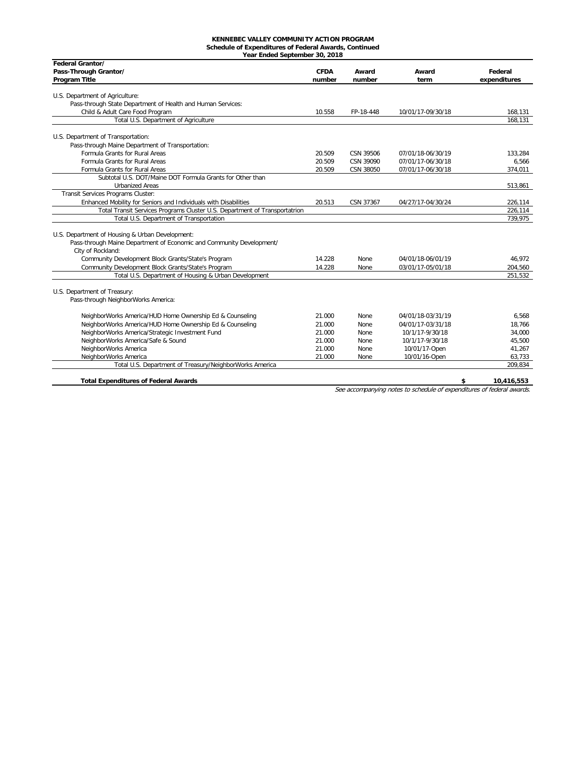#### **KENNEBEC VALLEY COMMUNITY ACTION PROGRAM Schedule of Expenditures of Federal Awards, Continued**

| Federal Grantor/                                                           |                       |                 |                   |                         |
|----------------------------------------------------------------------------|-----------------------|-----------------|-------------------|-------------------------|
| Pass-Through Grantor/<br>Program Title                                     | <b>CFDA</b><br>number | Award<br>number | Award<br>term     | Federal<br>expenditures |
|                                                                            |                       |                 |                   |                         |
| U.S. Department of Agriculture:                                            |                       |                 |                   |                         |
| Pass-through State Department of Health and Human Services:                |                       |                 |                   |                         |
| Child & Adult Care Food Program                                            | 10.558                | FP-18-448       | 10/01/17-09/30/18 | 168,131                 |
| Total U.S. Department of Agriculture                                       |                       |                 |                   | 168,131                 |
| U.S. Department of Transportation:                                         |                       |                 |                   |                         |
| Pass-through Maine Department of Transportation:                           |                       |                 |                   |                         |
| Formula Grants for Rural Areas                                             | 20.509                | CSN 39506       | 07/01/18-06/30/19 | 133,284                 |
| Formula Grants for Rural Areas                                             | 20.509                | CSN 39090       | 07/01/17-06/30/18 | 6,566                   |
| Formula Grants for Rural Areas                                             | 20.509                | CSN 38050       | 07/01/17-06/30/18 | 374,011                 |
| Subtotal U.S. DOT/Maine DOT Formula Grants for Other than                  |                       |                 |                   |                         |
| <b>Urbanized Areas</b>                                                     |                       |                 |                   | 513,861                 |
| Transit Services Programs Cluster:                                         |                       |                 |                   |                         |
| Enhanced Mobility for Seniors and Individuals with Disabilities            | 20.513                | CSN 37367       | 04/27/17-04/30/24 | 226,114                 |
| Total Transit Services Programs Cluster U.S. Department of Transportatrion |                       |                 |                   | 226,114                 |
| Total U.S. Department of Transportation                                    |                       |                 |                   | 739,975                 |
|                                                                            |                       |                 |                   |                         |
| U.S. Department of Housing & Urban Development:                            |                       |                 |                   |                         |
| Pass-through Maine Department of Economic and Community Development/       |                       |                 |                   |                         |
| City of Rockland:                                                          |                       |                 |                   |                         |
| Community Development Block Grants/State's Program                         | 14.228                | None            | 04/01/18-06/01/19 | 46.972                  |
| Community Development Block Grants/State's Program                         | 14.228                | None            | 03/01/17-05/01/18 | 204,560                 |
| Total U.S. Department of Housing & Urban Development                       |                       |                 |                   | 251,532                 |
| U.S. Department of Treasury:                                               |                       |                 |                   |                         |
| Pass-through NeighborWorks America:                                        |                       |                 |                   |                         |
|                                                                            |                       |                 |                   |                         |
| NeighborWorks America/HUD Home Ownership Ed & Counseling                   | 21.000                | None            | 04/01/18-03/31/19 | 6.568                   |
| NeighborWorks America/HUD Home Ownership Ed & Counseling                   | 21.000                | None            | 04/01/17-03/31/18 | 18,766                  |
| NeighborWorks America/Strategic Investment Fund                            | 21.000                | None            | 10/1/17-9/30/18   | 34,000                  |
| NeighborWorks America/Safe & Sound                                         | 21.000                | None            | 10/1/17-9/30/18   | 45,500                  |
| NeighborWorks America                                                      | 21.000                | None            | 10/01/17-Open     | 41,267                  |
| NeighborWorks America                                                      | 21.000                | None            | 10/01/16-Open     | 63,733                  |
| Total U.S. Department of Treasury/NeighborWorks America                    |                       |                 |                   | 209,834                 |
|                                                                            |                       |                 |                   |                         |
| <b>Total Expenditures of Federal Awards</b>                                |                       |                 |                   | \$<br>10.416.553        |

See accompanying notes to schedule of expenditures of federal awards.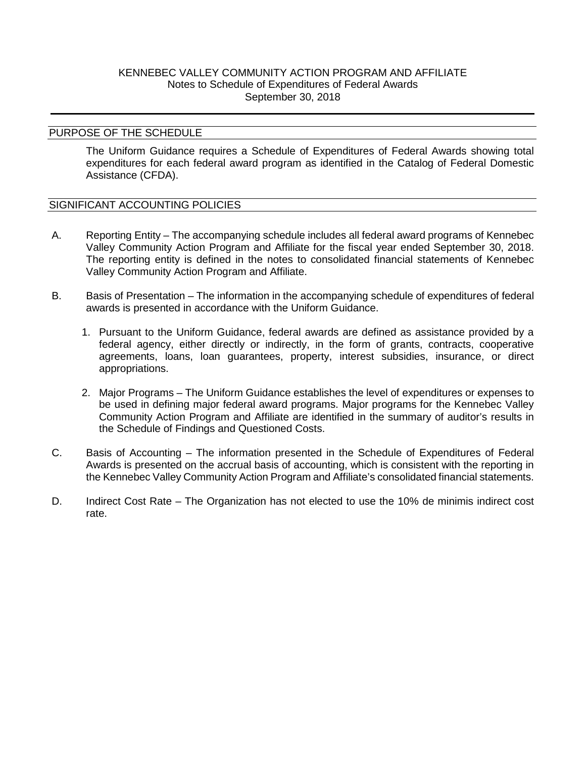## KENNEBEC VALLEY COMMUNITY ACTION PROGRAM AND AFFILIATE Notes to Schedule of Expenditures of Federal Awards September 30, 2018

#### PURPOSE OF THE SCHEDULE

The Uniform Guidance requires a Schedule of Expenditures of Federal Awards showing total expenditures for each federal award program as identified in the Catalog of Federal Domestic Assistance (CFDA).

## SIGNIFICANT ACCOUNTING POLICIES

- A. Reporting Entity The accompanying schedule includes all federal award programs of Kennebec Valley Community Action Program and Affiliate for the fiscal year ended September 30, 2018. The reporting entity is defined in the notes to consolidated financial statements of Kennebec Valley Community Action Program and Affiliate.
- B. Basis of Presentation The information in the accompanying schedule of expenditures of federal awards is presented in accordance with the Uniform Guidance.
	- 1. Pursuant to the Uniform Guidance, federal awards are defined as assistance provided by a federal agency, either directly or indirectly, in the form of grants, contracts, cooperative agreements, loans, loan guarantees, property, interest subsidies, insurance, or direct appropriations.
	- 2. Major Programs The Uniform Guidance establishes the level of expenditures or expenses to be used in defining major federal award programs. Major programs for the Kennebec Valley Community Action Program and Affiliate are identified in the summary of auditor's results in the Schedule of Findings and Questioned Costs.
- C. Basis of Accounting The information presented in the Schedule of Expenditures of Federal Awards is presented on the accrual basis of accounting, which is consistent with the reporting in the Kennebec Valley Community Action Program and Affiliate's consolidated financial statements.
- D. Indirect Cost Rate The Organization has not elected to use the 10% de minimis indirect cost rate.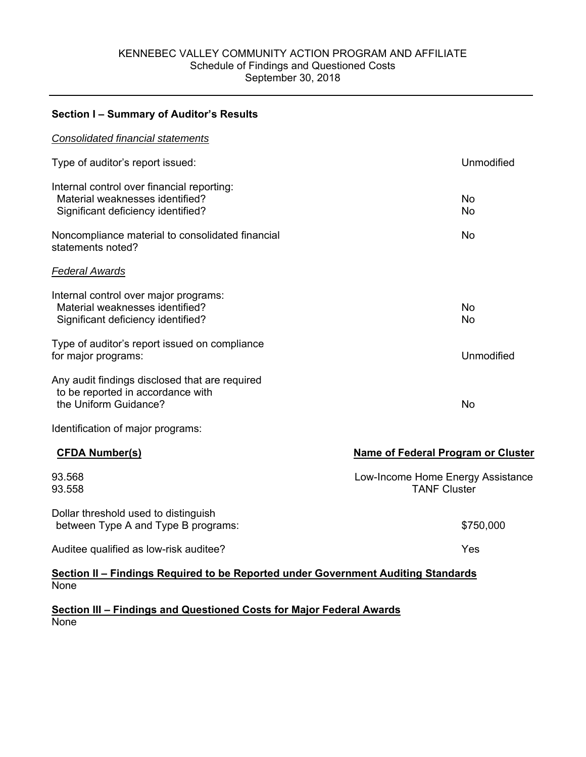#### KENNEBEC VALLEY COMMUNITY ACTION PROGRAM AND AFFILIATE Schedule of Findings and Questioned Costs September 30, 2018

**Section I – Summary of Auditor's Results** 

# *Consolidated financial statements*  Type of auditor's report issued: Unmodified Internal control over financial reporting: Material weaknesses identified? No was a state of the state of the state of the state of the state of the state of the state of the state of the state of the state of the state of the state of the state of the state of the Significant deficiency identified? No was a set of the state of the state of the state of the state of the state of the state of the state of the state of the state of the state of the state of the state of the state of th Noncompliance material to consolidated financial statements noted? No *Federal Awards*  Internal control over major programs: Material weaknesses identified? No Significant deficiency identified? No was a state of the state of the state of the state of the state of the state of the state of the state of the state of the state of the state of the state of the state of the state of Type of auditor's report issued on compliance for major programs: Unmodified Any audit findings disclosed that are required to be reported in accordance with the Uniform Guidance? No was a state of the Uniform Guidance of the Uniform Countries of the Uniform Countries of the Uniform Countries of the Uniform Countries of the Uniform Countries of the Uniform Countries of the Unif Identification of major programs: CFDA Number(s) **Name of Federal Program or Cluster Name of Federal Program or Cluster** 93.568 93.558 Dollar threshold used to distinguish Low-Income Home Energy Assistance TANF Cluster between Type A and Type B programs:  $$750,000$ Auditee qualified as low-risk auditee? Auditee was a series of the series of the series of the Yes

**Section II – Findings Required to be Reported under Government Auditing Standards**  None

**Section III – Findings and Questioned Costs for Major Federal Awards**  None